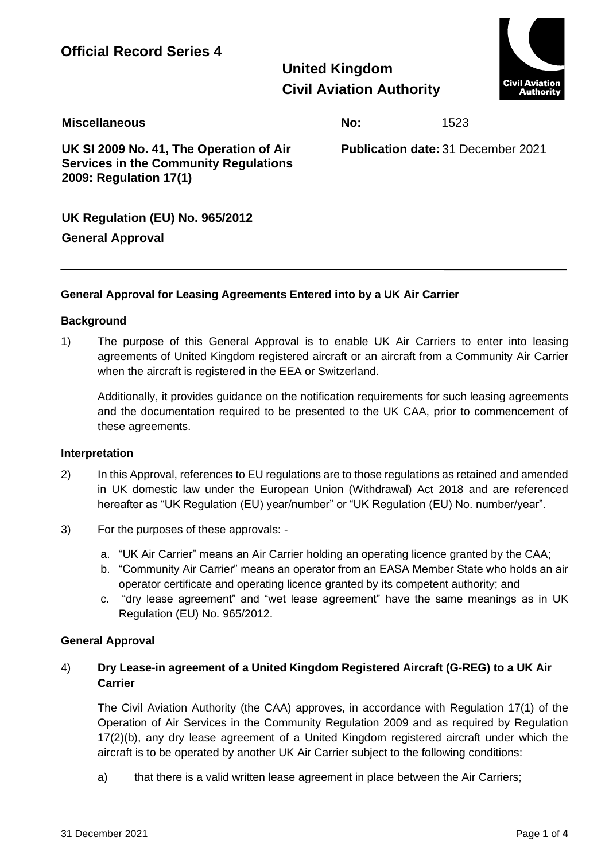**United Kingdom Civil Aviation Authority**



**Miscellaneous No:** 1523

**UK SI 2009 No. 41, The Operation of Air Services in the Community Regulations 2009: Regulation 17(1)**

**Publication date:** 31 December 2021

# **UK Regulation (EU) No. 965/2012**

## **General Approval**

## **General Approval for Leasing Agreements Entered into by a UK Air Carrier**

### **Background**

1) The purpose of this General Approval is to enable UK Air Carriers to enter into leasing agreements of United Kingdom registered aircraft or an aircraft from a Community Air Carrier when the aircraft is registered in the EEA or Switzerland.

Additionally, it provides guidance on the notification requirements for such leasing agreements and the documentation required to be presented to the UK CAA, prior to commencement of these agreements.

#### **Interpretation**

- 2) In this Approval, references to EU regulations are to those regulations as retained and amended in UK domestic law under the European Union (Withdrawal) Act 2018 and are referenced hereafter as "UK Regulation (EU) year/number" or "UK Regulation (EU) No. number/year".
- 3) For the purposes of these approvals:
	- a. "UK Air Carrier" means an Air Carrier holding an operating licence granted by the CAA;
	- b. "Community Air Carrier" means an operator from an EASA Member State who holds an air operator certificate and operating licence granted by its competent authority; and
	- c. "dry lease agreement" and "wet lease agreement" have the same meanings as in UK Regulation (EU) No. 965/2012.

#### **General Approval**

### 4) **Dry Lease-in agreement of a United Kingdom Registered Aircraft (G-REG) to a UK Air Carrier**

The Civil Aviation Authority (the CAA) approves, in accordance with Regulation 17(1) of the Operation of Air Services in the Community Regulation 2009 and as required by Regulation 17(2)(b), any dry lease agreement of a United Kingdom registered aircraft under which the aircraft is to be operated by another UK Air Carrier subject to the following conditions:

a) that there is a valid written lease agreement in place between the Air Carriers;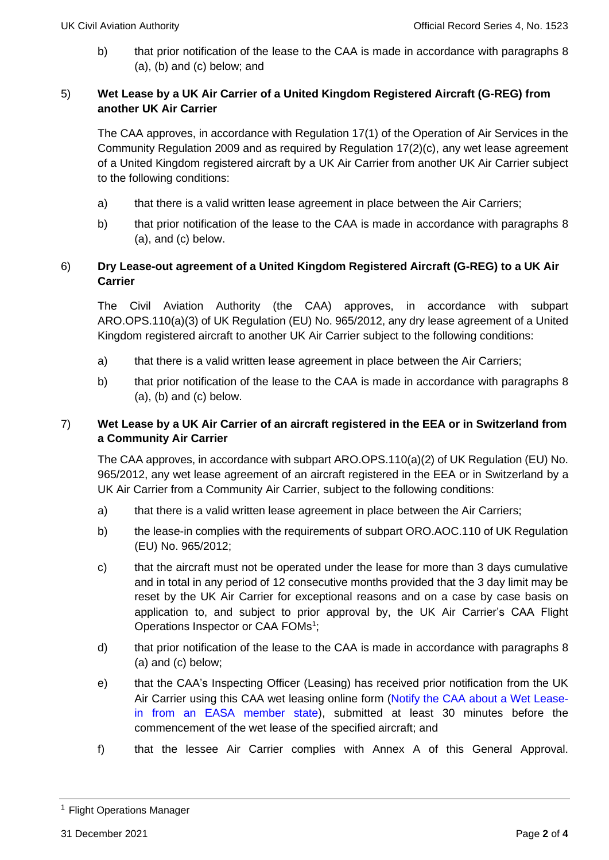b) that prior notification of the lease to the CAA is made in accordance with paragraphs 8 (a), (b) and (c) below; and

## 5) **Wet Lease by a UK Air Carrier of a United Kingdom Registered Aircraft (G-REG) from another UK Air Carrier**

The CAA approves, in accordance with Regulation 17(1) of the Operation of Air Services in the Community Regulation 2009 and as required by Regulation 17(2)(c), any wet lease agreement of a United Kingdom registered aircraft by a UK Air Carrier from another UK Air Carrier subject to the following conditions:

- a) that there is a valid written lease agreement in place between the Air Carriers;
- b) that prior notification of the lease to the CAA is made in accordance with paragraphs 8 (a), and (c) below.

### 6) **Dry Lease-out agreement of a United Kingdom Registered Aircraft (G-REG) to a UK Air Carrier**

The Civil Aviation Authority (the CAA) approves, in accordance with subpart ARO.OPS.110(a)(3) of UK Regulation (EU) No. 965/2012, any dry lease agreement of a United Kingdom registered aircraft to another UK Air Carrier subject to the following conditions:

- a) that there is a valid written lease agreement in place between the Air Carriers;
- b) that prior notification of the lease to the CAA is made in accordance with paragraphs 8  $(a)$ ,  $(b)$  and  $(c)$  below.

### 7) **Wet Lease by a UK Air Carrier of an aircraft registered in the EEA or in Switzerland from a Community Air Carrier**

The CAA approves, in accordance with subpart ARO.OPS.110(a)(2) of UK Regulation (EU) No. 965/2012, any wet lease agreement of an aircraft registered in the EEA or in Switzerland by a UK Air Carrier from a Community Air Carrier, subject to the following conditions:

- a) that there is a valid written lease agreement in place between the Air Carriers;
- b) the lease-in complies with the requirements of subpart ORO.AOC.110 of UK Regulation (EU) No. 965/2012;
- c) that the aircraft must not be operated under the lease for more than 3 days cumulative and in total in any period of 12 consecutive months provided that the 3 day limit may be reset by the UK Air Carrier for exceptional reasons and on a case by case basis on application to, and subject to prior approval by, the UK Air Carrier's CAA Flight Operations Inspector or CAA FOMs<sup>1</sup>;
- d) that prior notification of the lease to the CAA is made in accordance with paragraphs 8 (a) and (c) below;
- e) that the CAA's Inspecting Officer (Leasing) has received prior notification from the UK Air Carrier using this CAA wet leasing online form [\(Notify the CAA about a Wet Lease](https://apply.caa.co.uk/CAAPortal/terms-and-conditions.htm?formCode=WLI)[in from an EASA member state\)](https://apply.caa.co.uk/CAAPortal/terms-and-conditions.htm?formCode=WLI), submitted at least 30 minutes before the commencement of the wet lease of the specified aircraft; and
- f) that the lessee Air Carrier complies with Annex A of this General Approval.

<sup>&</sup>lt;sup>1</sup> Flight Operations Manager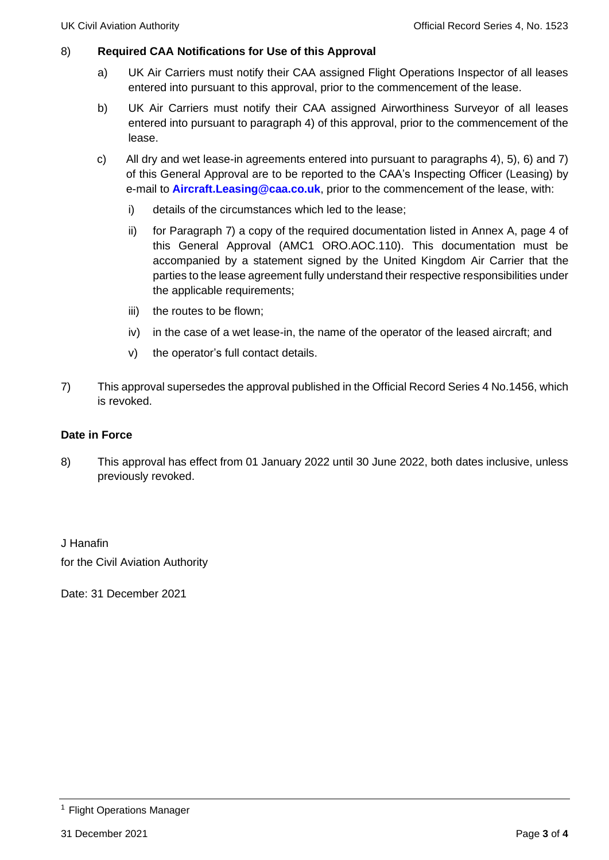### 8) **Required CAA Notifications for Use of this Approval**

- a) UK Air Carriers must notify their CAA assigned Flight Operations Inspector of all leases entered into pursuant to this approval, prior to the commencement of the lease.
- b) UK Air Carriers must notify their CAA assigned Airworthiness Surveyor of all leases entered into pursuant to paragraph 4) of this approval, prior to the commencement of the lease.
- c) All dry and wet lease-in agreements entered into pursuant to paragraphs 4), 5), 6) and 7) of this General Approval are to be reported to the CAA's Inspecting Officer (Leasing) by e-mail to **[Aircraft.Leasing@caa.co.uk](mailto:Aircraft.Leasing@caa.co.uk)**, prior to the commencement of the lease, with:
	- i) details of the circumstances which led to the lease;
	- ii) for Paragraph 7) a copy of the required documentation listed in Annex A, page 4 of this General Approval (AMC1 ORO.AOC.110). This documentation must be accompanied by a statement signed by the United Kingdom Air Carrier that the parties to the lease agreement fully understand their respective responsibilities under the applicable requirements;
	- iii) the routes to be flown;
	- iv) in the case of a wet lease-in, the name of the operator of the leased aircraft; and
	- v) the operator's full contact details.
- 7) This approval supersedes the approval published in the Official Record Series 4 No.1456, which is revoked.

#### **Date in Force**

8) This approval has effect from 01 January 2022 until 30 June 2022, both dates inclusive, unless previously revoked.

J Hanafin for the Civil Aviation Authority

Date: 31 December 2021

<sup>&</sup>lt;sup>1</sup> Flight Operations Manager